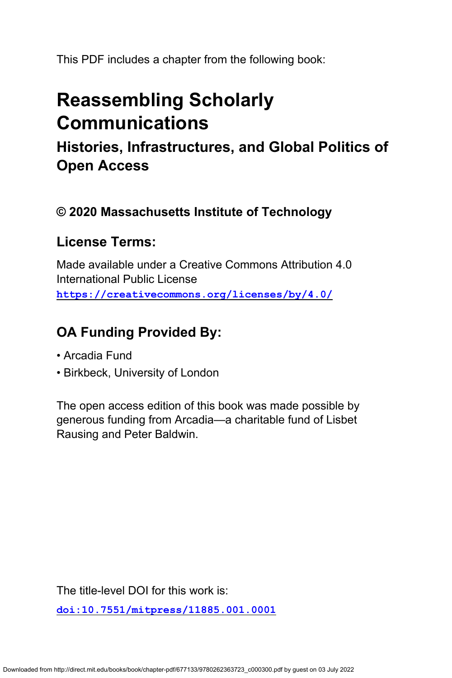This PDF includes a chapter from the following book:

# **Reassembling Scholarly Communications**

**Histories, Infrastructures, and Global Politics of Open Access**

### **© 2020 Massachusetts Institute of Technology**

### **License Terms:**

Made available under a Creative Commons Attribution 4.0 International Public License **<https://creativecommons.org/licenses/by/4.0/>**

## **OA Funding Provided By:**

- Arcadia Fund
- Birkbeck, University of London

The open access edition of this book was made possible by generous funding from Arcadia—a charitable fund of Lisbet Rausing and Peter Baldwin.

The title-level DOI for this work is:

**[doi:10.7551/mitpress/11885.001.0001](https://doi.org/10.7551/mitpress/11885.001.0001)**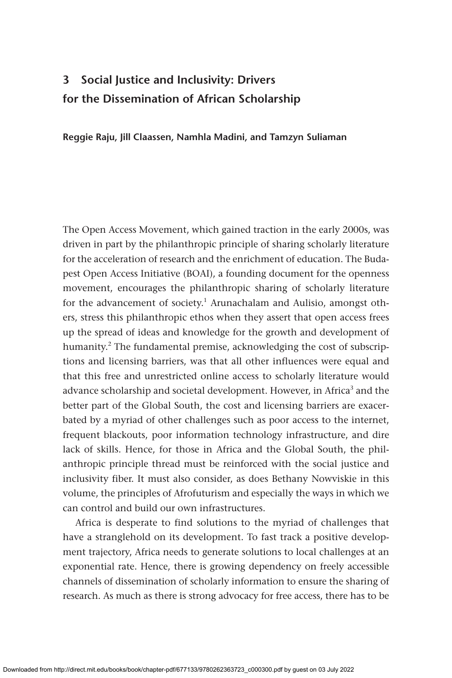### **3 Social Justice and Inclusivity: Drivers for the Dissemination of African Scholarship**

**Reggie Raju, Jill Claassen, Namhla Madini, and Tamzyn Suliaman**

The Open Access Movement, which gained traction in the early 2000s, was driven in part by the philanthropic principle of sharing scholarly literature for the acceleration of research and the enrichment of education. The Budapest Open Access Initiative (BOAI), a founding document for the openness movement, encourages the philanthropic sharing of scholarly literature for the advancement of society.<sup>1</sup> Arunachalam and Aulisio, amongst others, stress this philanthropic ethos when they assert that open access frees up the spread of ideas and knowledge for the growth and development of humanity.<sup>2</sup> The fundamental premise, acknowledging the cost of subscriptions and licensing barriers, was that all other influences were equal and that this free and unrestricted online access to scholarly literature would advance scholarship and societal development. However, in Africa<sup>3</sup> and the better part of the Global South, the cost and licensing barriers are exacerbated by a myriad of other challenges such as poor access to the internet, frequent blackouts, poor information technology infrastructure, and dire lack of skills. Hence, for those in Africa and the Global South, the philanthropic principle thread must be reinforced with the social justice and inclusivity fiber. It must also consider, as does Bethany Nowviskie in this volume, the principles of Afrofuturism and especially the ways in which we can control and build our own infrastructures.

Africa is desperate to find solutions to the myriad of challenges that have a stranglehold on its development. To fast track a positive development trajectory, Africa needs to generate solutions to local challenges at an exponential rate. Hence, there is growing dependency on freely accessible channels of dissemination of scholarly information to ensure the sharing of research. As much as there is strong advocacy for free access, there has to be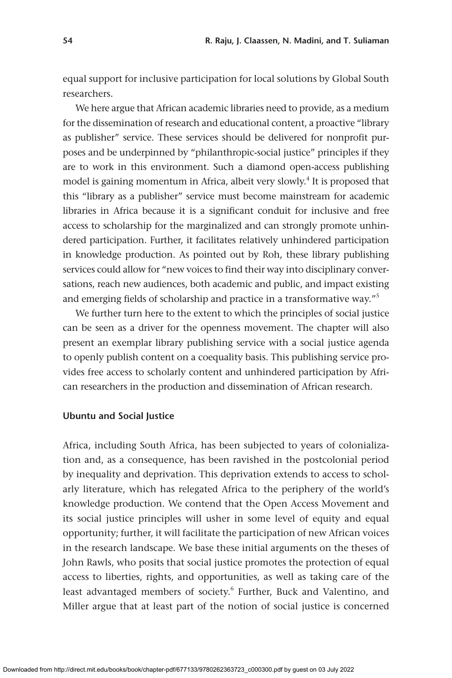equal support for inclusive participation for local solutions by Global South researchers.

We here argue that African academic libraries need to provide, as a medium for the dissemination of research and educational content, a proactive "library as publisher" service. These services should be delivered for nonprofit purposes and be underpinned by "philanthropic-social justice" principles if they are to work in this environment. Such a diamond open-access publishing model is gaining momentum in Africa, albeit very slowly.<sup>4</sup> It is proposed that this "library as a publisher" service must become mainstream for academic libraries in Africa because it is a significant conduit for inclusive and free access to scholarship for the marginalized and can strongly promote unhindered participation. Further, it facilitates relatively unhindered participation in knowledge production. As pointed out by Roh, these library publishing services could allow for "new voices to find their way into disciplinary conversations, reach new audiences, both academic and public, and impact existing and emerging fields of scholarship and practice in a transformative way."5

We further turn here to the extent to which the principles of social justice can be seen as a driver for the openness movement. The chapter will also present an exemplar library publishing service with a social justice agenda to openly publish content on a coequality basis. This publishing service provides free access to scholarly content and unhindered participation by African researchers in the production and dissemination of African research.

#### **Ubuntu and Social Justice**

Africa, including South Africa, has been subjected to years of colonialization and, as a consequence, has been ravished in the postcolonial period by inequality and deprivation. This deprivation extends to access to scholarly literature, which has relegated Africa to the periphery of the world's knowledge production. We contend that the Open Access Movement and its social justice principles will usher in some level of equity and equal opportunity; further, it will facilitate the participation of new African voices in the research landscape. We base these initial arguments on the theses of John Rawls, who posits that social justice promotes the protection of equal access to liberties, rights, and opportunities, as well as taking care of the least advantaged members of society.<sup>6</sup> Further, Buck and Valentino, and Miller argue that at least part of the notion of social justice is concerned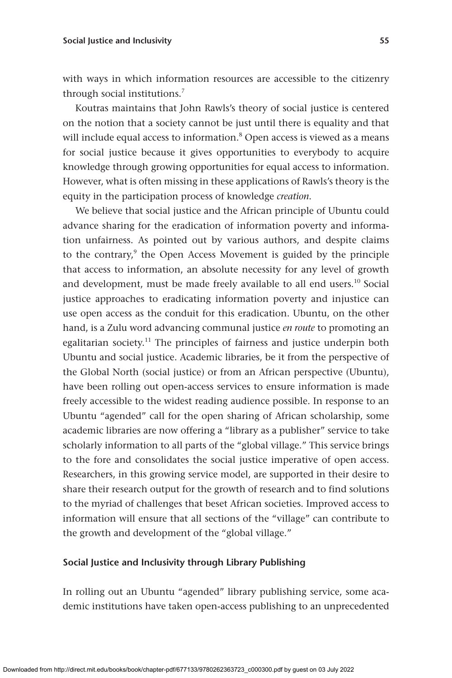with ways in which information resources are accessible to the citizenry through social institutions.<sup>7</sup>

Koutras maintains that John Rawls's theory of social justice is centered on the notion that a society cannot be just until there is equality and that will include equal access to information.<sup>8</sup> Open access is viewed as a means for social justice because it gives opportunities to everybody to acquire knowledge through growing opportunities for equal access to information. However, what is often missing in these applications of Rawls's theory is the equity in the participation process of knowledge *creation*.

We believe that social justice and the African principle of Ubuntu could advance sharing for the eradication of information poverty and information unfairness. As pointed out by various authors, and despite claims to the contrary, $9$  the Open Access Movement is guided by the principle that access to information, an absolute necessity for any level of growth and development, must be made freely available to all end users.<sup>10</sup> Social justice approaches to eradicating information poverty and injustice can use open access as the conduit for this eradication. Ubuntu, on the other hand, is a Zulu word advancing communal justice *en route* to promoting an egalitarian society.<sup>11</sup> The principles of fairness and justice underpin both Ubuntu and social justice. Academic libraries, be it from the perspective of the Global North (social justice) or from an African perspective (Ubuntu), have been rolling out open-access services to ensure information is made freely accessible to the widest reading audience possible. In response to an Ubuntu "agended" call for the open sharing of African scholarship, some academic libraries are now offering a "library as a publisher" service to take scholarly information to all parts of the "global village." This service brings to the fore and consolidates the social justice imperative of open access. Researchers, in this growing service model, are supported in their desire to share their research output for the growth of research and to find solutions to the myriad of challenges that beset African societies. Improved access to information will ensure that all sections of the "village" can contribute to the growth and development of the "global village."

#### **Social Justice and Inclusivity through Library Publishing**

In rolling out an Ubuntu "agended" library publishing service, some academic institutions have taken open-access publishing to an unprecedented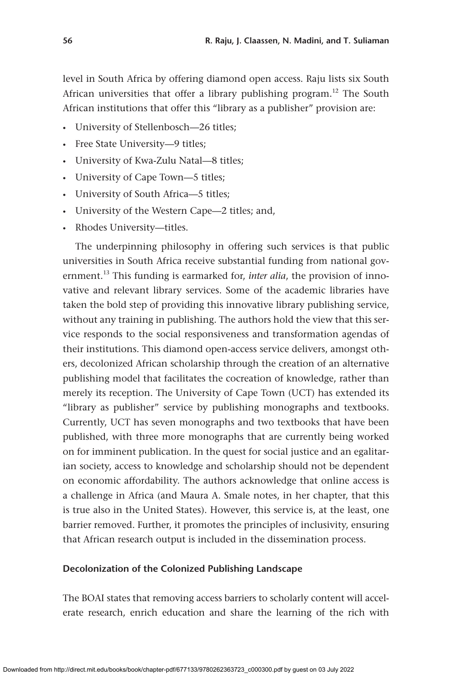level in South Africa by offering diamond open access. Raju lists six South African universities that offer a library publishing program.<sup>12</sup> The South African institutions that offer this "library as a publisher" provision are:

- University of Stellenbosch—26 titles;
- Free State University—9 titles;
- University of Kwa-Zulu Natal—8 titles;
- University of Cape Town—5 titles;
- University of South Africa—5 titles;
- University of the Western Cape—2 titles; and,
- Rhodes University—titles.

The underpinning philosophy in offering such services is that public universities in South Africa receive substantial funding from national government.<sup>13</sup> This funding is earmarked for, *inter alia*, the provision of innovative and relevant library services. Some of the academic libraries have taken the bold step of providing this innovative library publishing service, without any training in publishing. The authors hold the view that this service responds to the social responsiveness and transformation agendas of their institutions. This diamond open-access service delivers, amongst others, decolonized African scholarship through the creation of an alternative publishing model that facilitates the cocreation of knowledge, rather than merely its reception. The University of Cape Town (UCT) has extended its "library as publisher" service by publishing monographs and textbooks. Currently, UCT has seven monographs and two textbooks that have been published, with three more monographs that are currently being worked on for imminent publication. In the quest for social justice and an egalitarian society, access to knowledge and scholarship should not be dependent on economic affordability. The authors acknowledge that online access is a challenge in Africa (and Maura A. Smale notes, in her chapter, that this is true also in the United States). However, this service is, at the least, one barrier removed. Further, it promotes the principles of inclusivity, ensuring that African research output is included in the dissemination process.

#### **Decolonization of the Colonized Publishing Landscape**

The BOAI states that removing access barriers to scholarly content will accelerate research, enrich education and share the learning of the rich with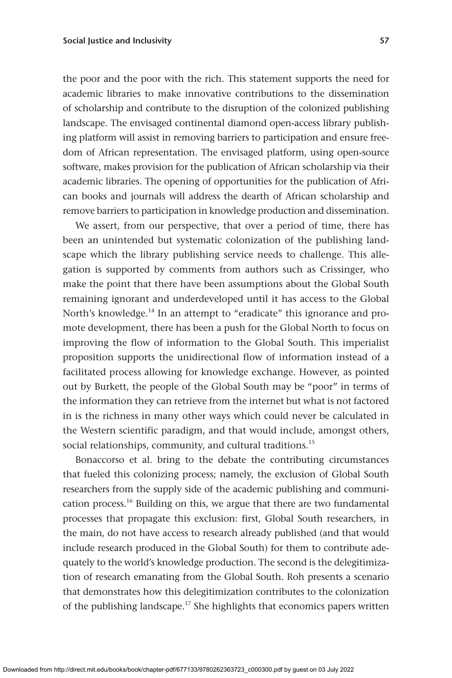the poor and the poor with the rich. This statement supports the need for academic libraries to make innovative contributions to the dissemination of scholarship and contribute to the disruption of the colonized publishing landscape. The envisaged continental diamond open-access library publishing platform will assist in removing barriers to participation and ensure freedom of African representation. The envisaged platform, using open-source software, makes provision for the publication of African scholarship via their academic libraries. The opening of opportunities for the publication of African books and journals will address the dearth of African scholarship and remove barriers to participation in knowledge production and dissemination.

We assert, from our perspective, that over a period of time, there has been an unintended but systematic colonization of the publishing landscape which the library publishing service needs to challenge. This allegation is supported by comments from authors such as Crissinger, who make the point that there have been assumptions about the Global South remaining ignorant and underdeveloped until it has access to the Global North's knowledge.<sup>14</sup> In an attempt to "eradicate" this ignorance and promote development, there has been a push for the Global North to focus on improving the flow of information to the Global South. This imperialist proposition supports the unidirectional flow of information instead of a facilitated process allowing for knowledge exchange. However, as pointed out by Burkett, the people of the Global South may be "poor" in terms of the information they can retrieve from the internet but what is not factored in is the richness in many other ways which could never be calculated in the Western scientific paradigm, and that would include, amongst others, social relationships, community, and cultural traditions.<sup>15</sup>

Bonaccorso et al. bring to the debate the contributing circumstances that fueled this colonizing process; namely, the exclusion of Global South researchers from the supply side of the academic publishing and communication process.16 Building on this, we argue that there are two fundamental processes that propagate this exclusion: first, Global South researchers, in the main, do not have access to research already published (and that would include research produced in the Global South) for them to contribute adequately to the world's knowledge production. The second is the delegitimization of research emanating from the Global South. Roh presents a scenario that demonstrates how this delegitimization contributes to the colonization of the publishing landscape.<sup>17</sup> She highlights that economics papers written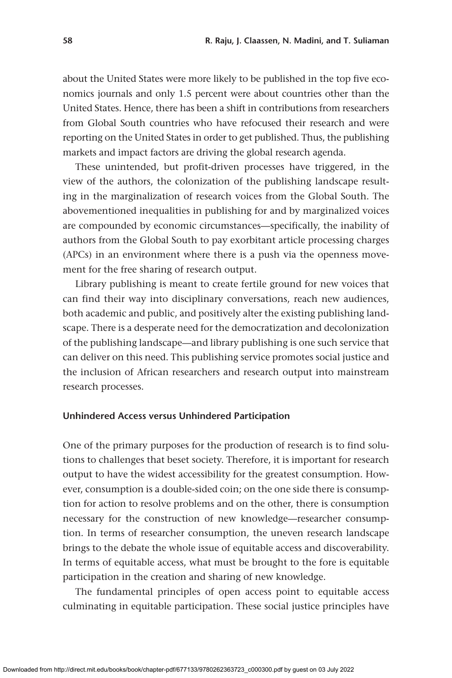about the United States were more likely to be published in the top five economics journals and only 1.5 percent were about countries other than the United States. Hence, there has been a shift in contributions from researchers from Global South countries who have refocused their research and were reporting on the United States in order to get published. Thus, the publishing markets and impact factors are driving the global research agenda.

These unintended, but profit-driven processes have triggered, in the view of the authors, the colonization of the publishing landscape resulting in the marginalization of research voices from the Global South. The abovementioned inequalities in publishing for and by marginalized voices are compounded by economic circumstances—specifically, the inability of authors from the Global South to pay exorbitant article processing charges (APCs) in an environment where there is a push via the openness movement for the free sharing of research output.

Library publishing is meant to create fertile ground for new voices that can find their way into disciplinary conversations, reach new audiences, both academic and public, and positively alter the existing publishing landscape. There is a desperate need for the democratization and decolonization of the publishing landscape—and library publishing is one such service that can deliver on this need. This publishing service promotes social justice and the inclusion of African researchers and research output into mainstream research processes.

#### **Unhindered Access versus Unhindered Participation**

One of the primary purposes for the production of research is to find solutions to challenges that beset society. Therefore, it is important for research output to have the widest accessibility for the greatest consumption. However, consumption is a double-sided coin; on the one side there is consumption for action to resolve problems and on the other, there is consumption necessary for the construction of new knowledge—researcher consumption. In terms of researcher consumption, the uneven research landscape brings to the debate the whole issue of equitable access and discoverability. In terms of equitable access, what must be brought to the fore is equitable participation in the creation and sharing of new knowledge.

The fundamental principles of open access point to equitable access culminating in equitable participation. These social justice principles have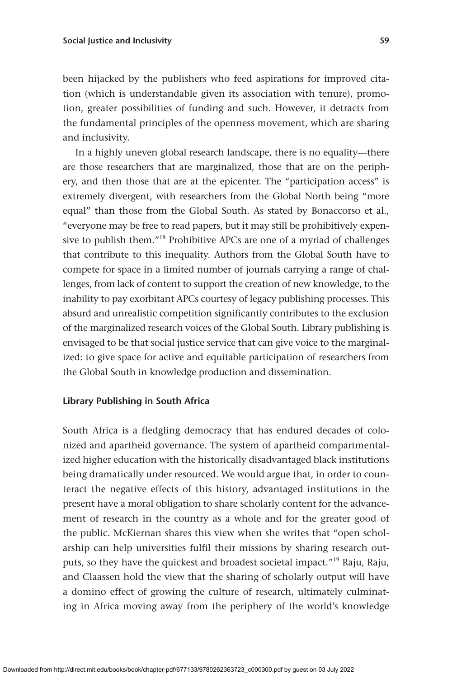been hijacked by the publishers who feed aspirations for improved citation (which is understandable given its association with tenure), promotion, greater possibilities of funding and such. However, it detracts from the fundamental principles of the openness movement, which are sharing and inclusivity.

In a highly uneven global research landscape, there is no equality—there are those researchers that are marginalized, those that are on the periphery, and then those that are at the epicenter. The "participation access" is extremely divergent, with researchers from the Global North being "more equal" than those from the Global South. As stated by Bonaccorso et al., "everyone may be free to read papers, but it may still be prohibitively expensive to publish them."18 Prohibitive APCs are one of a myriad of challenges that contribute to this inequality. Authors from the Global South have to compete for space in a limited number of journals carrying a range of challenges, from lack of content to support the creation of new knowledge, to the inability to pay exorbitant APCs courtesy of legacy publishing processes. This absurd and unrealistic competition significantly contributes to the exclusion of the marginalized research voices of the Global South. Library publishing is envisaged to be that social justice service that can give voice to the marginalized: to give space for active and equitable participation of researchers from the Global South in knowledge production and dissemination.

#### **Library Publishing in South Africa**

South Africa is a fledgling democracy that has endured decades of colonized and apartheid governance. The system of apartheid compartmentalized higher education with the historically disadvantaged black institutions being dramatically under resourced. We would argue that, in order to counteract the negative effects of this history, advantaged institutions in the present have a moral obligation to share scholarly content for the advancement of research in the country as a whole and for the greater good of the public. McKiernan shares this view when she writes that "open scholarship can help universities fulfil their missions by sharing research outputs, so they have the quickest and broadest societal impact."<sup>19</sup> Raju, Raju, and Claassen hold the view that the sharing of scholarly output will have a domino effect of growing the culture of research, ultimately culminating in Africa moving away from the periphery of the world's knowledge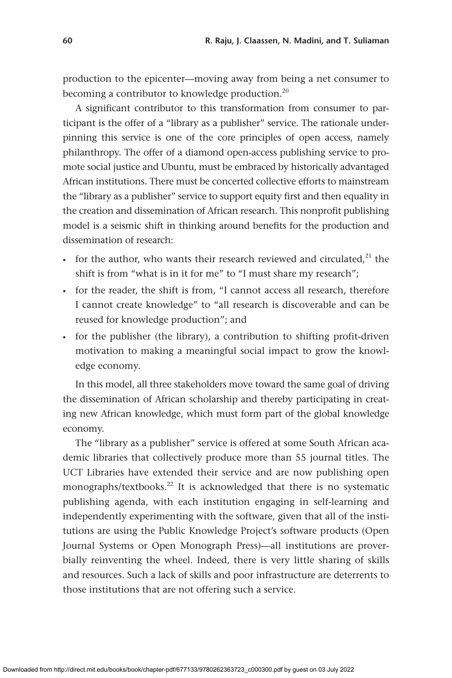production to the epicenter—moving away from being a net consumer to becoming a contributor to knowledge production.<sup>20</sup>

A significant contributor to this transformation from consumer to participant is the offer of a "library as a publisher" service. The rationale underpinning this service is one of the core principles of open access, namely philanthropy. The offer of a diamond open-access publishing service to promote social justice and Ubuntu, must be embraced by historically advantaged African institutions. There must be concerted collective efforts to mainstream the "library as a publisher" service to support equity first and then equality in the creation and dissemination of African research. This nonprofit publishing model is a seismic shift in thinking around benefits for the production and dissemination of research:

- for the author, who wants their research reviewed and circulated, $^{21}$  the shift is from "what is in it for me" to "I must share my research";
- for the reader, the shift is from, "I cannot access all research, therefore I cannot create knowledge" to "all research is discoverable and can be reused for knowledge production"; and
- for the publisher (the library), a contribution to shifting profit-driven motivation to making a meaningful social impact to grow the knowledge economy.

In this model, all three stakeholders move toward the same goal of driving the dissemination of African scholarship and thereby participating in creating new African knowledge, which must form part of the global knowledge economy.

The "library as a publisher" service is offered at some South African academic libraries that collectively produce more than 55 journal titles. The UCT Libraries have extended their service and are now publishing open monographs/textbooks.<sup>22</sup> It is acknowledged that there is no systematic publishing agenda, with each institution engaging in self-learning and independently experimenting with the software, given that all of the institutions are using the Public Knowledge Project's software products (Open Journal Systems or Open Monograph Press)—all institutions are proverbially reinventing the wheel. Indeed, there is very little sharing of skills and resources. Such a lack of skills and poor infrastructure are deterrents to those institutions that are not offering such a service.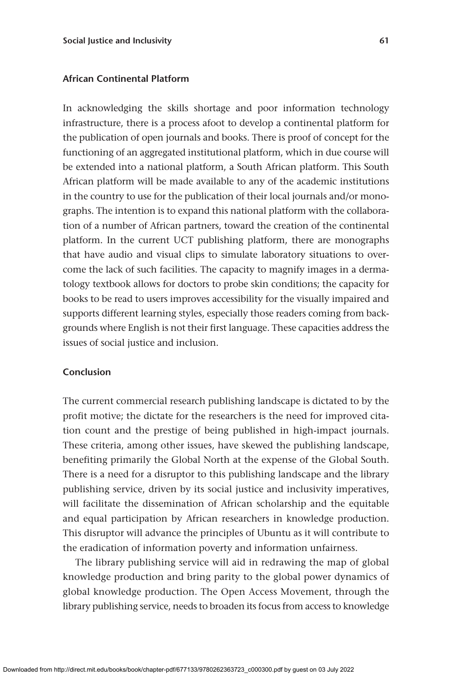#### **African Continental Platform**

In acknowledging the skills shortage and poor information technology infrastructure, there is a process afoot to develop a continental platform for the publication of open journals and books. There is proof of concept for the functioning of an aggregated institutional platform, which in due course will be extended into a national platform, a South African platform. This South African platform will be made available to any of the academic institutions in the country to use for the publication of their local journals and/or monographs. The intention is to expand this national platform with the collaboration of a number of African partners, toward the creation of the continental platform. In the current UCT publishing platform, there are monographs that have audio and visual clips to simulate laboratory situations to overcome the lack of such facilities. The capacity to magnify images in a dermatology textbook allows for doctors to probe skin conditions; the capacity for books to be read to users improves accessibility for the visually impaired and supports different learning styles, especially those readers coming from backgrounds where English is not their first language. These capacities address the issues of social justice and inclusion.

### **Conclusion**

The current commercial research publishing landscape is dictated to by the profit motive; the dictate for the researchers is the need for improved citation count and the prestige of being published in high-impact journals. These criteria, among other issues, have skewed the publishing landscape, benefiting primarily the Global North at the expense of the Global South. There is a need for a disruptor to this publishing landscape and the library publishing service, driven by its social justice and inclusivity imperatives, will facilitate the dissemination of African scholarship and the equitable and equal participation by African researchers in knowledge production. This disruptor will advance the principles of Ubuntu as it will contribute to the eradication of information poverty and information unfairness.

The library publishing service will aid in redrawing the map of global knowledge production and bring parity to the global power dynamics of global knowledge production. The Open Access Movement, through the library publishing service, needs to broaden its focus from access to knowledge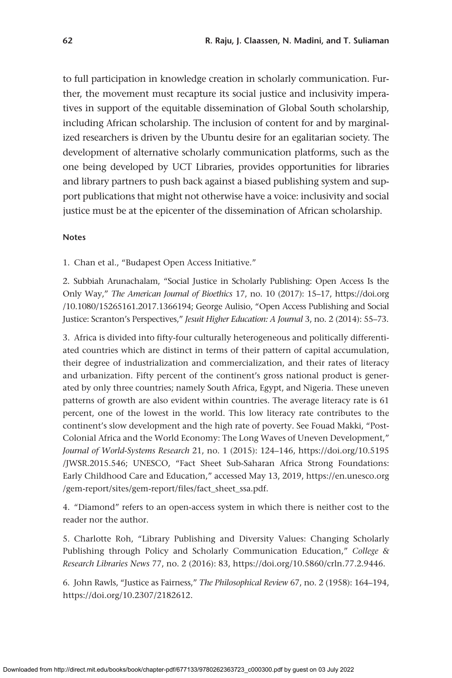to full participation in knowledge creation in scholarly communication. Further, the movement must recapture its social justice and inclusivity imperatives in support of the equitable dissemination of Global South scholarship, including African scholarship. The inclusion of content for and by marginalized researchers is driven by the Ubuntu desire for an egalitarian society. The development of alternative scholarly communication platforms, such as the one being developed by UCT Libraries, provides opportunities for libraries and library partners to push back against a biased publishing system and support publications that might not otherwise have a voice: inclusivity and social justice must be at the epicenter of the dissemination of African scholarship.

#### **Notes**

1. Chan et al., "Budapest Open Access Initiative."

2. Subbiah Arunachalam, "Social Justice in Scholarly Publishing: Open Access Is the Only Way," *The American Journal of Bioethics* 17, no. 10 (2017): 15–17, [https://doi.org](https://doi.org/10.1080/15265161.2017.1366194) [/10.1080/15265161.2017.1366194;](https://doi.org/10.1080/15265161.2017.1366194) George Aulisio, "Open Access Publishing and Social Justice: Scranton's Perspectives," *Jesuit Higher Education: A Journal* 3, no. 2 (2014): 55–73.

3. Africa is divided into fifty-four culturally heterogeneous and politically differentiated countries which are distinct in terms of their pattern of capital accumulation, their degree of industrialization and commercialization, and their rates of literacy and urbanization. Fifty percent of the continent's gross national product is generated by only three countries; namely South Africa, Egypt, and Nigeria. These uneven patterns of growth are also evident within countries. The average literacy rate is 61 percent, one of the lowest in the world. This low literacy rate contributes to the continent's slow development and the high rate of poverty. See Fouad Makki, "Post-Colonial Africa and the World Economy: The Long Waves of Uneven Development," *Journal of World-Systems Research* 21, no. 1 (2015): 124–146, [https://doi.org/10.5195](https://doi.org/10.5195/JWSR.2015.546) [/JWSR.2015.546;](https://doi.org/10.5195/JWSR.2015.546) UNESCO, "Fact Sheet Sub-Saharan Africa Strong Foundations: Early Childhood Care and Education," accessed May 13, 2019, [https://en.unesco.org](https://en.unesco.org/gem-report/sites/gem-report/files/fact_sheet_ssa.pdf) [/gem-report/sites/gem-report/files/fact\\_sheet\\_ssa.pdf](https://en.unesco.org/gem-report/sites/gem-report/files/fact_sheet_ssa.pdf).

4. "Diamond" refers to an open-access system in which there is neither cost to the reader nor the author.

5. Charlotte Roh, "Library Publishing and Diversity Values: Changing Scholarly Publishing through Policy and Scholarly Communication Education," *College & Research Libraries News* 77, no. 2 (2016): 83, <https://doi.org/10.5860/crln.77.2.9446>.

6. John Rawls, "Justice as Fairness," *The Philosophical Review* 67, no. 2 (1958): 164–194, [https://doi.org/10.2307/2182612.](https://doi.org/10.2307/2182612)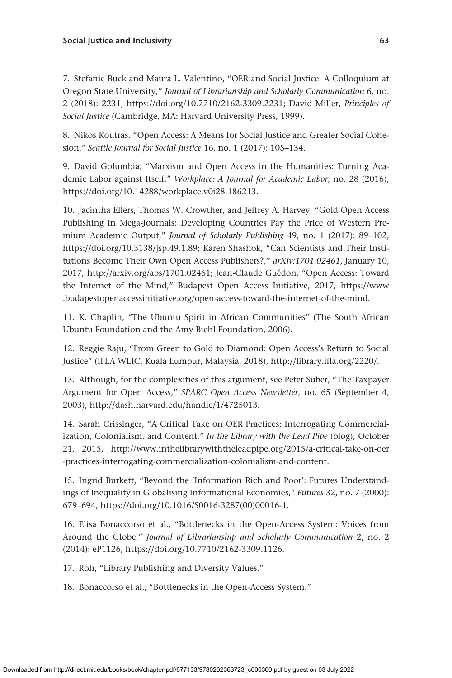#### **Social Justice and Inclusivity 63**

7. Stefanie Buck and Maura L. Valentino, "OER and Social Justice: A Colloquium at Oregon State University," *Journal of Librarianship and Scholarly Communication* 6, no. 2 (2018): 2231, [https://doi.org/10.7710/2162-3309.2231;](https://doi.org/10.7710/2162-3309.2231) David Miller, *Principles of Social Justice* (Cambridge, MA: Harvard University Press, 1999).

8. Nikos Koutras, "Open Access: A Means for Social Justice and Greater Social Cohesion," *Seattle Journal for Social Justice* 16, no. 1 (2017): 105–134.

9. David Golumbia, "Marxism and Open Access in the Humanities: Turning Academic Labor against Itself," *Workplace: A Journal for Academic Labor*, no. 28 (2016), [https://doi.org/10.14288/workplace.v0i28.186213.](https://doi.org/10.14288/workplace.v0i28.186213)

10. Jacintha Ellers, Thomas W. Crowther, and Jeffrey A. Harvey, "Gold Open Access Publishing in Mega-Journals: Developing Countries Pay the Price of Western Premium Academic Output," *Journal of Scholarly Publishing* 49, no. 1 (2017): 89–102, [https://doi.org/10.3138/jsp.49.1.89;](https://doi.org/10.3138/jsp.49.1.89) Karen Shashok, "Can Scientists and Their Institutions Become Their Own Open Access Publishers?," *arXiv:1701.02461*, January 10, 2017, <http://arxiv.org/abs/1701.02461>; Jean-Claude Guédon, "Open Access: Toward the Internet of the Mind," Budapest Open Access Initiative, 2017, [https://www](https://www.budapestopenaccessinitiative.org/open-access-toward-the-internet-of-the-mind) [.budapestopenaccessinitiative.org/open-access-toward-the-internet-of-the-mind](https://www.budapestopenaccessinitiative.org/open-access-toward-the-internet-of-the-mind).

11. K. Chaplin, "The Ubuntu Spirit in African Communities" (The South African Ubuntu Foundation and the Amy Biehl Foundation, 2006).

12. Reggie Raju, "From Green to Gold to Diamond: Open Access's Return to Social Justice" (IFLA WLIC, Kuala Lumpur, Malaysia, 2018), <http://library.ifla.org/2220/>.

13. Although, for the complexities of this argument, see Peter Suber, "The Taxpayer Argument for Open Access," *SPARC Open Access Newsletter*, no. 65 (September 4, 2003), <http://dash.harvard.edu/handle/1/4725013>.

14. Sarah Crissinger, "A Critical Take on OER Practices: Interrogating Commercialization, Colonialism, and Content," *In the Library with the Lead Pipe* (blog), October 21, 2015, [http://www.inthelibrarywiththeleadpipe.org/2015/a-critical-take-on-oer](http://www.inthelibrarywiththeleadpipe.org/2015/a-critical-take-on-oer-practices-interrogating-commercialization-colonialism-and-content) [-practices-interrogating-commercialization-colonialism-and-content](http://www.inthelibrarywiththeleadpipe.org/2015/a-critical-take-on-oer-practices-interrogating-commercialization-colonialism-and-content).

15. Ingrid Burkett, "Beyond the 'Information Rich and Poor': Futures Understandings of Inequality in Globalising Informational Economies," *Futures* 32, no. 7 (2000): 679–694, [https://doi.org/10.1016/S0016-3287\(00\)00016-1](https://doi.org/10.1016/S0016-3287(00)00016-1).

16. Elisa Bonaccorso et al., "Bottlenecks in the Open-Access System: Voices from Around the Globe," *Journal of Librarianship and Scholarly Communication* 2, no. 2 (2014): eP1126, [https://doi.org/10.7710/2162-3309.1126.](https://doi.org/10.7710/2162-3309.1126)

17. Roh, "Library Publishing and Diversity Values."

18. Bonaccorso et al., "Bottlenecks in the Open-Access System."